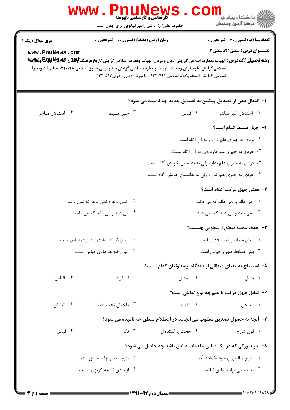| سری سوال : یک ۱<br>www.PnuNews.com | <b>زمان آزمون (دقیقه) : تستی : 60 ٪ تشریحی : 0</b> | رشته تحصیلی/کد درس : الهیات ومعارف اسلامی گرایش ادیان وعرفان،الهیات ومعارف اسلامی گرایش تاریخ فرهنگ <del>\$EQU</del> R و&wy و&wy<br>اسلامی گرایش علوم قر آن وحدیث،الهیات و معارف اسلامی گرایش فقه ومبانی حقوق اسلامی ۱۲۲۰۰۲۸ - ،الهیات ومعارف<br>اسلامی گرایش فلسفه وکلام اسلامی ۱۲۲۰۴۶۱ - ،آموزش دینی- عربی۱۲۲۰۵۱۲ | <b>تعداد سوالات : تستی : 30 ٪ تشریحی : 0</b><br><b>عنـــوان درس :</b> منطق (۲)،منطق ۲ |
|------------------------------------|----------------------------------------------------|---------------------------------------------------------------------------------------------------------------------------------------------------------------------------------------------------------------------------------------------------------------------------------------------------------------------|---------------------------------------------------------------------------------------|
|                                    |                                                    | ۱– انتقال ذهن از تصدیق پیشین به تصدیق جدید چه نامیده می شود؟                                                                                                                                                                                                                                                        |                                                                                       |
| ۰۴ استدلال مباشر                   | ۰۳ جهل بسيط                                        | ۰۲ قیاس                                                                                                                                                                                                                                                                                                             | ۰۱ استدلال غیر مباشر                                                                  |
|                                    |                                                    |                                                                                                                                                                                                                                                                                                                     | ٢- جهل بسيط كدام است؟                                                                 |
|                                    |                                                    |                                                                                                                                                                                                                                                                                                                     | ۰۱ فردی به چیزی علم دارد و به آن آگاه است.                                            |
|                                    |                                                    |                                                                                                                                                                                                                                                                                                                     | ۰۲ فردی به چیزی علم دارد ولی به آن آگاه نیست.                                         |
|                                    |                                                    | ۰۳ فردی به چیزی علم ندارد ولی به ندانستن خویش آگاه نیست.                                                                                                                                                                                                                                                            |                                                                                       |
|                                    |                                                    | ۰۴ فردی به چیزی علم ندارد ولی به ندانستن خویش آگاه است.                                                                                                                                                                                                                                                             |                                                                                       |
|                                    |                                                    |                                                                                                                                                                                                                                                                                                                     | ۳- معنی جهل مرکب کدام است؟                                                            |
|                                    | ۰۲ نمی داند و نمی داند که نمی داند.                |                                                                                                                                                                                                                                                                                                                     | ۰۱ می داند و نمی داند که می داند.                                                     |
| ۰۴ می داند و می داند که می داند.   |                                                    |                                                                                                                                                                                                                                                                                                                     | ۰۳ نمی داند و می داند که نمی داند.                                                    |
|                                    |                                                    |                                                                                                                                                                                                                                                                                                                     | ۴- هدف عمده منطق ارسطویی چیست؟                                                        |
| ٠٢ بيان ضوابط مادى وصورى قياس است. |                                                    | ٠١. بيان مصاديق امر مجهول است.                                                                                                                                                                                                                                                                                      |                                                                                       |
|                                    | ۰۴ بیان ضوابط مادی قیاس است.                       |                                                                                                                                                                                                                                                                                                                     | ٠٣ بيان ضوابط صورى قياس است.                                                          |
|                                    |                                                    | ۵– استنتاج به معنای منطقی از دیدگاه ارسطوئیان کدام است؟                                                                                                                                                                                                                                                             |                                                                                       |
| ۰۴ قیاس                            | ۰۳ استقراء                                         | ۰۲ تمثیل                                                                                                                                                                                                                                                                                                            | ۰۱ جدل                                                                                |
|                                    |                                                    |                                                                                                                                                                                                                                                                                                                     | ۶–  تقابل جهل مركب با علم چه نوع تقابلي است؟                                          |
| ۰۴ تناقض                           | ۰۳ داخلان تحت تضاد                                 | ۰۲ تضاد                                                                                                                                                                                                                                                                                                             | ۰۱ تداخل                                                                              |
|                                    |                                                    | ۷- آنچه به حصول تصدیق مطلوب می انجامد در اصطلاح منطق چه نامیده می شود؟                                                                                                                                                                                                                                              |                                                                                       |
| ۰۴ قياس                            | ۰۳ فکر                                             | ٠٢ حجت يا استدلال                                                                                                                                                                                                                                                                                                   | ۰۱ قول شارح                                                                           |
|                                    |                                                    | ٨−۔ در صورتی که در یک قیاس مقدمات صادق باشد چه حاصل می شود؟                                                                                                                                                                                                                                                         |                                                                                       |
| ۰۲ نتیجه نمی تواند صادق باشد.      |                                                    | ٠١ هيچ تناقضي بوجود نخواهد آمد.                                                                                                                                                                                                                                                                                     |                                                                                       |
| ۰۴ از صدق نتیجه گریزی نیست.        |                                                    |                                                                                                                                                                                                                                                                                                                     |                                                                                       |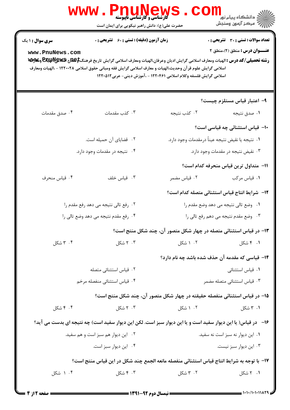|                                           | <b>WWW.PN</b><br><b>کارشناسی و کارشناسی ناپیوسته</b><br>حضرت علی(ع): دانش راهبر نیکویی برای ایمان است                                                                                                                                                                                               |                                                                            | ڪ دانشڪاه پيا <sub>م</sub> نور<br><mark>√</mark> مرڪز آزمون وسنڊش             |
|-------------------------------------------|-----------------------------------------------------------------------------------------------------------------------------------------------------------------------------------------------------------------------------------------------------------------------------------------------------|----------------------------------------------------------------------------|-------------------------------------------------------------------------------|
| <b>سری سوال : ۱ یک</b><br>www.PnuNews.com | <b>زمان آزمون (دقیقه) : تستی : 60 ٪ تشریحی : 0</b><br>رشته تحصیلی/کد درس : الهیات ومعارف اسلامی گرایش ادیان وعرفان،الهیات ومعارف اسلامی گرایش تاریخ فرهنگ <del>\$EQU</del> R و&wy و&wy<br>اسلامی گرایش علوم قر آن وحدیث،الهیات و معارف اسلامی گرایش فقه ومبانی حقوق اسلامی ۱۲۲۰۰۲۸ - ،الهیات ومعارف | اسلامی گرایش فلسفه وکلام اسلامی ۱۲۲۰۴۶۱ - ،آموزش دینی- عربی۱۲۲۰۵۱۲         | <b>تعداد سوالات : تستی : 30 ٪ تشریحی : 0</b><br>عنـــوان درس: منطق (٢)،منطق ٢ |
|                                           |                                                                                                                                                                                                                                                                                                     |                                                                            | ۹- اعتبار قیاس مستلزم چیست؟                                                   |
| ۰۴ صدق مقدمات                             | ۰۳ کذب مقدمات                                                                                                                                                                                                                                                                                       | ۰۲ کذب نتیجه                                                               | ۰۱ صدق نتيجه                                                                  |
|                                           |                                                                                                                                                                                                                                                                                                     |                                                                            | <b>۱۰</b> قیاس استثنائی چه قیاسی است؟                                         |
|                                           | ۲. قضایای آن حمیله است.                                                                                                                                                                                                                                                                             | ١. نتيجه يا نقيض نتيجه عيناً درمقدمات وجود دارد.                           |                                                                               |
|                                           | ۴. نتیجه در مقدمات وجود دارد.                                                                                                                                                                                                                                                                       |                                                                            | ۰۳ نقیض نتیجه در مقدمات وجود دارد.                                            |
|                                           |                                                                                                                                                                                                                                                                                                     |                                                                            | 11– متداول ترين قياس منحرفه كدام است؟                                         |
| ۰۴ قياس منحرف                             | ۰۳ قیاس خلف                                                                                                                                                                                                                                                                                         | ۰۲ قیاس مضمر                                                               | ٠١ قياس مركب                                                                  |
|                                           |                                                                                                                                                                                                                                                                                                     |                                                                            | <b>۱۲</b> - شرایط انتاج قیاس استثنائی متصله کدام است؟                         |
|                                           | ۰۲ رفع تالی نتیجه می دهد رفع مقدم را                                                                                                                                                                                                                                                                |                                                                            | ٠١. وضع تالي نتيجه مي دهد وضع مقدم را                                         |
|                                           | ۰۴ رفع مقدم نتيجه مي دهد وضع تالي را                                                                                                                                                                                                                                                                | ۰۳ وضع مقدم نتيجه مي دهم رفع تالي را                                       |                                                                               |
|                                           |                                                                                                                                                                                                                                                                                                     | ۱۳- در قیاس استثنائی متصله در چهار شکل متصور آن، چند شکل منتج است؟         |                                                                               |
| ۰۴ شکل                                    | ۰۳ شکل                                                                                                                                                                                                                                                                                              | ۰۲ شکل                                                                     | ۰۱ ۴ شکل                                                                      |
|                                           |                                                                                                                                                                                                                                                                                                     | ۱۴– قیاسی که مقدمه آن حذف شده باشد چه نام دارد؟                            |                                                                               |
|                                           | ۰۲ قیاس استثنائی متصله                                                                                                                                                                                                                                                                              |                                                                            | ۰۱ قیاس استثنائی                                                              |
| ۰۴ قیاس استثنائی منفصله مرخم              |                                                                                                                                                                                                                                                                                                     |                                                                            | ۰۳ قیاس استثنائی متصله مضمر                                                   |
|                                           |                                                                                                                                                                                                                                                                                                     | ۱۵– در قیاس استثنائی منفصله حقیقته در چهار شکل متصور آن، چند شکل منتج است؟ |                                                                               |
| ۰۴ شکل                                    | ۰۳ شکل                                                                                                                                                                                                                                                                                              | ۰۲ شکل                                                                     | ۰۱ ۴ شکل                                                                      |
|                                           | ۱۶ - در قیاس( یا این دیوار سفید است و یا این دیوار سبز است. لکن این دیوار سفید است) چه نتیجه ای بدست می آید؟                                                                                                                                                                                        |                                                                            |                                                                               |
|                                           | ۰۲ این دیوار هم سبز است و هم سفید.                                                                                                                                                                                                                                                                  |                                                                            | ٠١. اين ديوار نه سبز است نه سفيد.                                             |
|                                           | ۰۴ این دیوار سبز است.                                                                                                                                                                                                                                                                               |                                                                            | ۰۳ این دیوار سبز نیست.                                                        |
|                                           | Ⅳ- با توجه به شرايط انتاج قياس استثنائي منفصله مانعه الجمع چند شكل در اين قياس منتج است؟                                                                                                                                                                                                            |                                                                            |                                                                               |
| ۰۴ شکل                                    | ۰۳ شکل                                                                                                                                                                                                                                                                                              | ۲. ۳ شکل                                                                   | ۰۱ ۲ شکل                                                                      |
|                                           |                                                                                                                                                                                                                                                                                                     |                                                                            |                                                                               |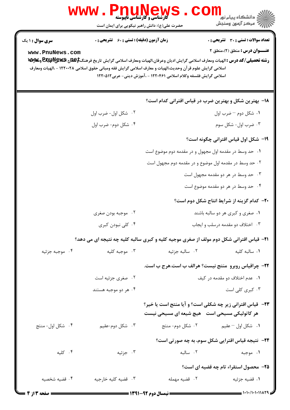|                                    | <b>WWW.PNUNEWS</b><br><b>گارشناسی و کارشناسی ناپیوسته</b><br>حضرت علی(ع): دانش راهبر نیکویی برای ایمان است |                                                                                                                                                                                 | <mark>د</mark> دانشگاه پيام نو <mark>ر</mark><br>أأأ مركز آزمون وسنجش                                                                                                                                              |
|------------------------------------|------------------------------------------------------------------------------------------------------------|---------------------------------------------------------------------------------------------------------------------------------------------------------------------------------|--------------------------------------------------------------------------------------------------------------------------------------------------------------------------------------------------------------------|
| سری سوال : ۱ یک<br>www.PnuNews.com | <b>زمان آزمون (دقیقه) : تستی : 60 ٪ تشریحی : 0</b>                                                         | اسلامی گرایش علوم قر آن وحدیث،الهیات و معارف اسلامی گرایش فقه ومبانی حقوق اسلامی ۱۲۲۰۰۲۸ - ،الهیات ومعارف<br>اسلامی گرایش فلسفه وکلام اسلامی ۱۲۲۰۴۶۱ - ،آموزش دینی- عربی۱۲۲۰۵۱۲ | تعداد سوالات : تستي : 30 ٪ تشريحي : 0<br><b>عنـــوان درس :</b> منطق (۲)،منطق ۲<br>رشته تحصیلی/کد درس : الهیات ومعارف اسلامی گرایش ادیان وعرفان،الهیات ومعارف اسلامی گرایش تاریخ فرهنگ <del>\$EQU</del> R و&wy و&wy |
|                                    |                                                                                                            |                                                                                                                                                                                 | <b>۱۸</b> - بهترین شکل و بهترین ضرب در قیاس اقترانی کدام است؟                                                                                                                                                      |
|                                    | ۰۲ شکل اول- ضرب اول                                                                                        |                                                                                                                                                                                 | ۰۱ شکل دوم – ضرب اول                                                                                                                                                                                               |
|                                    | ۰۴ شکل دوم- ضرب اول                                                                                        |                                                                                                                                                                                 | ۰۳ ضرب اول- شکل سوم                                                                                                                                                                                                |
|                                    |                                                                                                            |                                                                                                                                                                                 | ۱۹– شکل اول قیاس اقترانی چگونه است؟                                                                                                                                                                                |
|                                    |                                                                                                            | ۰۱ حد وسط در مقدمه اول مجهول و در مقدمه دوم موضوع است                                                                                                                           |                                                                                                                                                                                                                    |
|                                    |                                                                                                            | ۰۲ حد وسط در مقدمه اول موضوع و در مقدمه دوم مجهول است                                                                                                                           |                                                                                                                                                                                                                    |
|                                    |                                                                                                            |                                                                                                                                                                                 | ۰۳ حد وسط در هر دو مقدمه مجهول است                                                                                                                                                                                 |
|                                    |                                                                                                            |                                                                                                                                                                                 | ۰۴ حد وسط در هر دو مقدمه موضوع است                                                                                                                                                                                 |
|                                    |                                                                                                            |                                                                                                                                                                                 | <b>۲۰</b> کدام گزینه از شرایط انتاج شکل دوم است؟                                                                                                                                                                   |
|                                    | ۰۲ موجبه بودن صغری                                                                                         | ۰۱ صغری و کبری هر دو سالبه باشند                                                                                                                                                |                                                                                                                                                                                                                    |
|                                    | ۰۴ کلی نبودن کبری                                                                                          |                                                                                                                                                                                 | ۰۳ اختلاف دو مقدمه درسلب و ایجاب                                                                                                                                                                                   |
|                                    |                                                                                                            | <b>۲۱</b> - قیاس اقترانی شکل دوم مولف از صغری موجیه کلیه و کبری سالبه کلیه چه نتیجه ای می دهد؟                                                                                  |                                                                                                                                                                                                                    |
| ۰۴ موجبه جزئيه                     | ۰۳ موجبه کلیه                                                                                              | ۰۲ سالبه جزئیه                                                                                                                                                                  | ٠١. سالبه كليه                                                                                                                                                                                                     |
|                                    |                                                                                                            |                                                                                                                                                                                 | <b>۲۲- چراقیاس روبرو ًمنتج نیست؟ هرالف ب است.هرج ب است.</b>                                                                                                                                                        |
|                                    | ۰۲ صغری جزئیه است                                                                                          |                                                                                                                                                                                 | ۰۱ عدم اختلاف دو مقدمه در کيف                                                                                                                                                                                      |
|                                    | ۰۴ هر دو موجبه هستند                                                                                       |                                                                                                                                                                                 | ۰۳ کبری کلی است                                                                                                                                                                                                    |
|                                    |                                                                                                            | هر کاتولیکی مسیحی است۔ هیچ شیعه ای مسیحی نیست                                                                                                                                   | <b>33</b> - قیاس اقترانی زیر چه شکلی است؟ و آیا منتج است یا خیر؟                                                                                                                                                   |
| ۰۴ شکل اول- منتج                   | ۰۳ شکل دوم-عقیم                                                                                            |                                                                                                                                                                                 |                                                                                                                                                                                                                    |
|                                    |                                                                                                            |                                                                                                                                                                                 | <b>34- نتیجه قیاس اقترایی شکل سوم، به چه صورتی است</b> ؟                                                                                                                                                           |
| ۰۴ کلیه                            | ۰۳ جزئیه                                                                                                   | ۰۲ سالبه                                                                                                                                                                        | ۰۱ موجبه                                                                                                                                                                                                           |
|                                    |                                                                                                            |                                                                                                                                                                                 | ۲۵– محصول استقراء تام چه قضیه ای است؟                                                                                                                                                                              |
| ۰۴ قضیه شخصیه                      | ۰۳ قضيه كليه خارجيه                                                                                        | ۰۲ قضیه مهمله                                                                                                                                                                   | ۰۱ قضیه جزئیه                                                                                                                                                                                                      |
| <b>ــــــــــ صفحه ۲ از ۴</b>      |                                                                                                            |                                                                                                                                                                                 |                                                                                                                                                                                                                    |